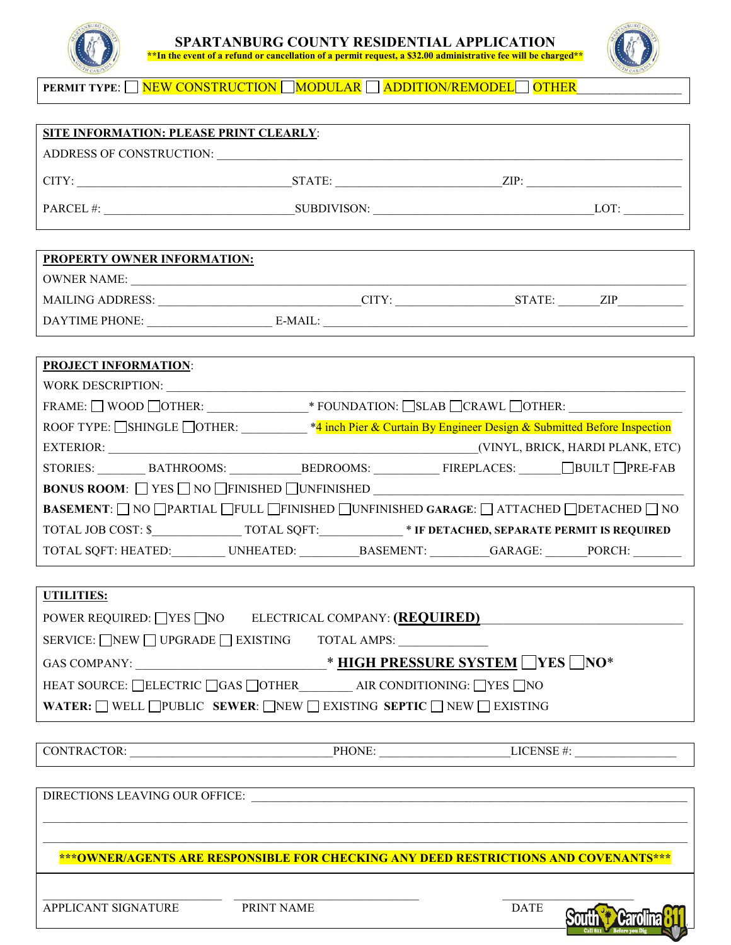



**PERMIT TYPE:** NEW CONSTRUCTION MODULAR ADDITION/REMODEL OTHER

| SITE INFORMATION: PLEASE PRINT CLEARLY:                                                                                                                                                                                                                                                                                                                                                                                                        |                                             |                                                                                                                                                                                            |
|------------------------------------------------------------------------------------------------------------------------------------------------------------------------------------------------------------------------------------------------------------------------------------------------------------------------------------------------------------------------------------------------------------------------------------------------|---------------------------------------------|--------------------------------------------------------------------------------------------------------------------------------------------------------------------------------------------|
|                                                                                                                                                                                                                                                                                                                                                                                                                                                | ADDRESS OF CONSTRUCTION: NORTH CONSTRUCTION |                                                                                                                                                                                            |
|                                                                                                                                                                                                                                                                                                                                                                                                                                                |                                             |                                                                                                                                                                                            |
|                                                                                                                                                                                                                                                                                                                                                                                                                                                |                                             |                                                                                                                                                                                            |
|                                                                                                                                                                                                                                                                                                                                                                                                                                                |                                             |                                                                                                                                                                                            |
| PROPERTY OWNER INFORMATION:                                                                                                                                                                                                                                                                                                                                                                                                                    |                                             |                                                                                                                                                                                            |
|                                                                                                                                                                                                                                                                                                                                                                                                                                                |                                             |                                                                                                                                                                                            |
|                                                                                                                                                                                                                                                                                                                                                                                                                                                |                                             | MAILING ADDRESS: _______________________________CITY: ___________________STATE: _______ZIP__________                                                                                       |
|                                                                                                                                                                                                                                                                                                                                                                                                                                                |                                             |                                                                                                                                                                                            |
|                                                                                                                                                                                                                                                                                                                                                                                                                                                |                                             |                                                                                                                                                                                            |
| <b>PROJECT INFORMATION:</b>                                                                                                                                                                                                                                                                                                                                                                                                                    |                                             |                                                                                                                                                                                            |
| WORK DESCRIPTION:                                                                                                                                                                                                                                                                                                                                                                                                                              |                                             |                                                                                                                                                                                            |
| $\textsf{FRAME: } \Box \textsf{ WOOD} \textsf{ \textsf{ \texttt{O}C}} \textsf{I} \textsf{OTHER:} \textsf{ \texttt{ \texttt{M100}}$} \textsf{ \texttt{*} FOUNDATION: } \Box \textsf{SLAB} \textsf{ \textsf{ \texttt{C}C}} \textsf{RAWL} \textsf{ \textsf{ \texttt{O}C}} \textsf{I} \textsf{HER:} \textsf{ \texttt{ \texttt{M100}}} \textsf{I} \textsf{I} \textsf{I} \textsf{I} \textsf{I} \textsf{I} \textsf{I} \textsf{I} \textsf{I} \textsf{$ |                                             |                                                                                                                                                                                            |
| ROOF TYPE: SHINGLE OTHER: _________ *4 inch Pier & Curtain By Engineer Design & Submitted Before Inspection                                                                                                                                                                                                                                                                                                                                    |                                             |                                                                                                                                                                                            |
|                                                                                                                                                                                                                                                                                                                                                                                                                                                |                                             |                                                                                                                                                                                            |
|                                                                                                                                                                                                                                                                                                                                                                                                                                                |                                             | $\texttt{STORIES:}\hspace{0.05cm} \texttt{BATHROOMS:}\hspace{0.05cm} \texttt{BEDROOMS:}\hspace{0.05cm} \texttt{FIREPLACES:}\hspace{0.05cm} \texttt{BULT} \hspace{0.05cm} \texttt{PRE-FAB}$ |
| <b>BONUS ROOM:</b> $\Box$ YES $\Box$ NO $\Box$ FINISHED $\Box$ UNFINISHED $\Box$                                                                                                                                                                                                                                                                                                                                                               |                                             |                                                                                                                                                                                            |
| <b>BASEMENT</b> : NO OPARTIAL FULL FINISHED OUNFINISHED GARAGE: ATTACHED ODETACHED NO                                                                                                                                                                                                                                                                                                                                                          |                                             |                                                                                                                                                                                            |
|                                                                                                                                                                                                                                                                                                                                                                                                                                                |                                             |                                                                                                                                                                                            |
|                                                                                                                                                                                                                                                                                                                                                                                                                                                |                                             | TOTAL SQFT: HEATED:__________ UNHEATED:___________BASEMENT: __________GARAGE: _______PORCH: ________                                                                                       |
|                                                                                                                                                                                                                                                                                                                                                                                                                                                |                                             |                                                                                                                                                                                            |
| UTILITIES:                                                                                                                                                                                                                                                                                                                                                                                                                                     |                                             |                                                                                                                                                                                            |
| POWER REQUIRED: VES NO ELECTRICAL COMPANY: (REQUIRED)                                                                                                                                                                                                                                                                                                                                                                                          |                                             |                                                                                                                                                                                            |
| SERVICE: NEW UPGRADE EXISTING TOTAL AMPS:                                                                                                                                                                                                                                                                                                                                                                                                      |                                             |                                                                                                                                                                                            |
| <u> MIGH PRESSURE SYSTEM</u> NES NO <sup>*</sup><br><b>GAS COMPANY:</b>                                                                                                                                                                                                                                                                                                                                                                        |                                             |                                                                                                                                                                                            |
| HEAT SOURCE: LELECTRIC GAS LOTHER AIR CONDITIONING: LYES NO                                                                                                                                                                                                                                                                                                                                                                                    |                                             |                                                                                                                                                                                            |
| WATER: $\Box$ WELL $\Box$ PUBLIC SEWER: $\Box$ NEW $\Box$ EXISTING SEPTIC $\Box$ NEW $\Box$ EXISTING                                                                                                                                                                                                                                                                                                                                           |                                             |                                                                                                                                                                                            |
|                                                                                                                                                                                                                                                                                                                                                                                                                                                |                                             |                                                                                                                                                                                            |
|                                                                                                                                                                                                                                                                                                                                                                                                                                                |                                             | $CONFRACTOR:$ $PHONE:$ $LICENSE #:$                                                                                                                                                        |
|                                                                                                                                                                                                                                                                                                                                                                                                                                                |                                             |                                                                                                                                                                                            |
|                                                                                                                                                                                                                                                                                                                                                                                                                                                |                                             |                                                                                                                                                                                            |
|                                                                                                                                                                                                                                                                                                                                                                                                                                                |                                             |                                                                                                                                                                                            |
|                                                                                                                                                                                                                                                                                                                                                                                                                                                |                                             |                                                                                                                                                                                            |
| ***OWNER/AGENTS ARE RESPONSIBLE FOR CHECKING ANY DEED RESTRICTIONS AND COVENANTS***                                                                                                                                                                                                                                                                                                                                                            |                                             |                                                                                                                                                                                            |
|                                                                                                                                                                                                                                                                                                                                                                                                                                                |                                             |                                                                                                                                                                                            |
| APPLICANT SIGNATURE                                                                                                                                                                                                                                                                                                                                                                                                                            | PRINT NAME                                  | <b>DATE</b>                                                                                                                                                                                |
|                                                                                                                                                                                                                                                                                                                                                                                                                                                |                                             |                                                                                                                                                                                            |